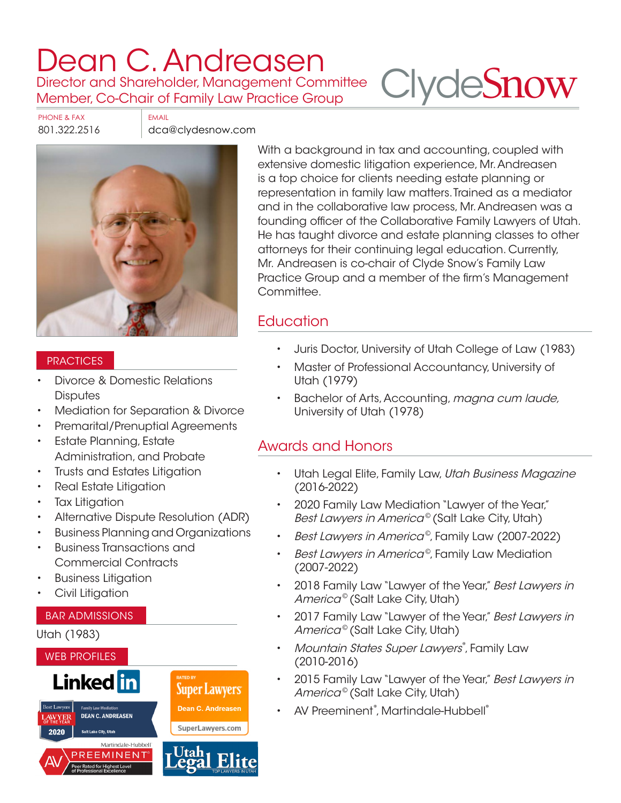# [Dean C. Andreasen](https://www.clydesnow.com/attorneys/3-Dean-C-Andreasen)

Director and Shareholder, Management Committee Member, Co-Chair of Family Law Practice Group

PHONE & FAX EMAIL

801.322.2516 dca@clydesnow.com



#### **PRACTICES**

- Divorce & Domestic Relations **Disputes**
- Mediation for Separation & Divorce
- Premarital/Prenuptial Agreements
- **Estate Planning, Estate** Administration, and Probate
- Trusts and Estates Litigation
- Real Estate Litigation
- **Tax Litigation**
- Alternative Dispute Resolution (ADR)
- Business Planning and Organizations
- Business Transactions and Commercial Contracts
- Business Litigation
- Civil Litigation

#### BAR ADMISSIONS

#### Utah (1983)



With a background in tax and accounting, coupled with extensive domestic litigation experience, Mr. Andreasen is a top choice for clients needing estate planning or representation in family law matters. Trained as a mediator and in the collaborative law process, Mr. Andreasen was a founding officer of the Collaborative Family Lawyers of Utah. He has taught divorce and estate planning classes to other attorneys for their continuing legal education. Currently, Mr. Andreasen is co-chair of Clyde Snow's Family Law Practice Group and a member of the firm's Management Committee.

**Clyde[Snow](http://www.clydesnow.com)** 

## **Education**

- Juris Doctor, University of Utah College of Law (1983)
- Master of Professional Accountancy, University of Utah (1979)
- Bachelor of Arts, Accounting, magna cum laude, University of Utah (1978)

## Awards and Honors

- Utah Legal Elite, Family Law, Utah Business Magazine (2016-2022)
- 2020 Family Law Mediation "Lawyer of the Year," Best Lawyers in America<sup>©</sup> (Salt Lake City, Utah)
- Best Lawyers in America©, Family Law (2007-2022)
- Best Lawyers in America<sup>®</sup>, Family Law Mediation (2007-2022)
- 2018 Family Law "Lawyer of the Year," Best Lawyers in America<sup>©</sup> (Salt Lake City, Utah)
- 2017 Family Law "Lawyer of the Year," Best Lawyers in America<sup>©</sup> (Salt Lake City, Utah)
- Mountain States Super Lawyers®, Family Law (2010-2016)
- 2015 Family Law "Lawyer of the Year," Best Lawyers in America<sup>©</sup> (Salt Lake City, Utah)
- AV Preeminent®, Martindale-Hubbell®